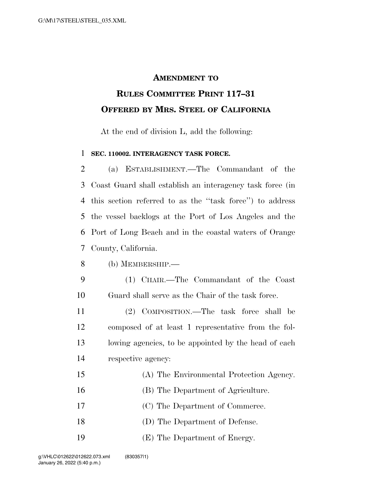## **AMENDMENT TO**

## **RULES COMMITTEE PRINT 117–31 OFFERED BY MRS. STEEL OF CALIFORNIA**

At the end of division L, add the following:

## **SEC. 110002. INTERAGENCY TASK FORCE.**

 (a) ESTABLISHMENT.—The Commandant of the Coast Guard shall establish an interagency task force (in this section referred to as the ''task force'') to address the vessel backlogs at the Port of Los Angeles and the Port of Long Beach and in the coastal waters of Orange County, California.

- (b) MEMBERSHIP.—
- (1) CHAIR.—The Commandant of the Coast Guard shall serve as the Chair of the task force.

 (2) COMPOSITION.—The task force shall be composed of at least 1 representative from the fol- lowing agencies, to be appointed by the head of each respective agency:

- (A) The Environmental Protection Agency. (B) The Department of Agriculture. (C) The Department of Commerce.
- (D) The Department of Defense.
- (E) The Department of Energy.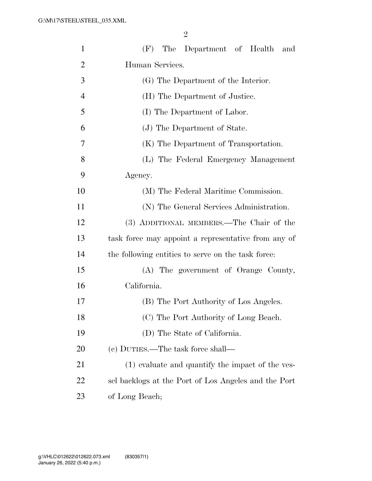| $\mathbf{1}$   | (F) The Department of Health<br>and                  |  |  |  |
|----------------|------------------------------------------------------|--|--|--|
| $\overline{2}$ | Human Services.                                      |  |  |  |
| 3              | (G) The Department of the Interior.                  |  |  |  |
| $\overline{4}$ | (H) The Department of Justice.                       |  |  |  |
| 5              | (I) The Department of Labor.                         |  |  |  |
| 6              | (J) The Department of State.                         |  |  |  |
| 7              | (K) The Department of Transportation.                |  |  |  |
| 8              | (L) The Federal Emergency Management                 |  |  |  |
| 9              | Agency.                                              |  |  |  |
| 10             | (M) The Federal Maritime Commission.                 |  |  |  |
| 11             | (N) The General Services Administration.             |  |  |  |
| 12             | (3) ADDITIONAL MEMBERS.—The Chair of the             |  |  |  |
| 13             | task force may appoint a representative from any of  |  |  |  |
| 14             | the following entities to serve on the task force:   |  |  |  |
| 15             | (A) The government of Orange County,                 |  |  |  |
| 16             | California.                                          |  |  |  |
| 17             | (B) The Port Authority of Los Angeles.               |  |  |  |
| 18             | (C) The Port Authority of Long Beach.                |  |  |  |
| 19             | (D) The State of California.                         |  |  |  |
| 20             | (c) DUTIES.—The task force shall—                    |  |  |  |
| 21             | (1) evaluate and quantify the impact of the ves-     |  |  |  |
| 22             | sel backlogs at the Port of Los Angeles and the Port |  |  |  |
| 23             | of Long Beach;                                       |  |  |  |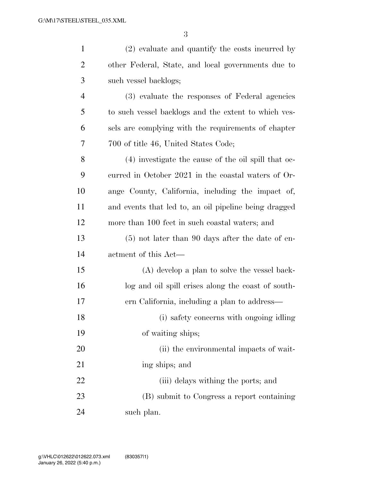| $\mathbf{1}$   | (2) evaluate and quantify the costs incurred by       |
|----------------|-------------------------------------------------------|
| $\overline{2}$ | other Federal, State, and local governments due to    |
| 3              | such vessel backlogs;                                 |
| $\overline{4}$ | (3) evaluate the responses of Federal agencies        |
| 5              | to such vessel backlogs and the extent to which ves-  |
| 6              | sels are complying with the requirements of chapter   |
| 7              | 700 of title 46, United States Code;                  |
| 8              | (4) investigate the cause of the oil spill that oc-   |
| 9              | curred in October 2021 in the coastal waters of Or-   |
| 10             | ange County, California, including the impact of,     |
| 11             | and events that led to, an oil pipeline being dragged |
| 12             | more than 100 feet in such coastal waters; and        |
| 13             | $(5)$ not later than 90 days after the date of en-    |
| 14             | actment of this Act—                                  |
| 15             | (A) develop a plan to solve the vessel back-          |
| 16             | log and oil spill crises along the coast of south-    |
| 17             | ern California, including a plan to address—          |
| 18             | (i) safety concerns with ongoing idling               |
| 19             | of waiting ships;                                     |
| 20             | (ii) the environmental impacts of wait-               |
| 21             | ing ships; and                                        |
| 22             | (iii) delays withing the ports; and                   |
| 23             | (B) submit to Congress a report containing            |
| 24             | such plan.                                            |